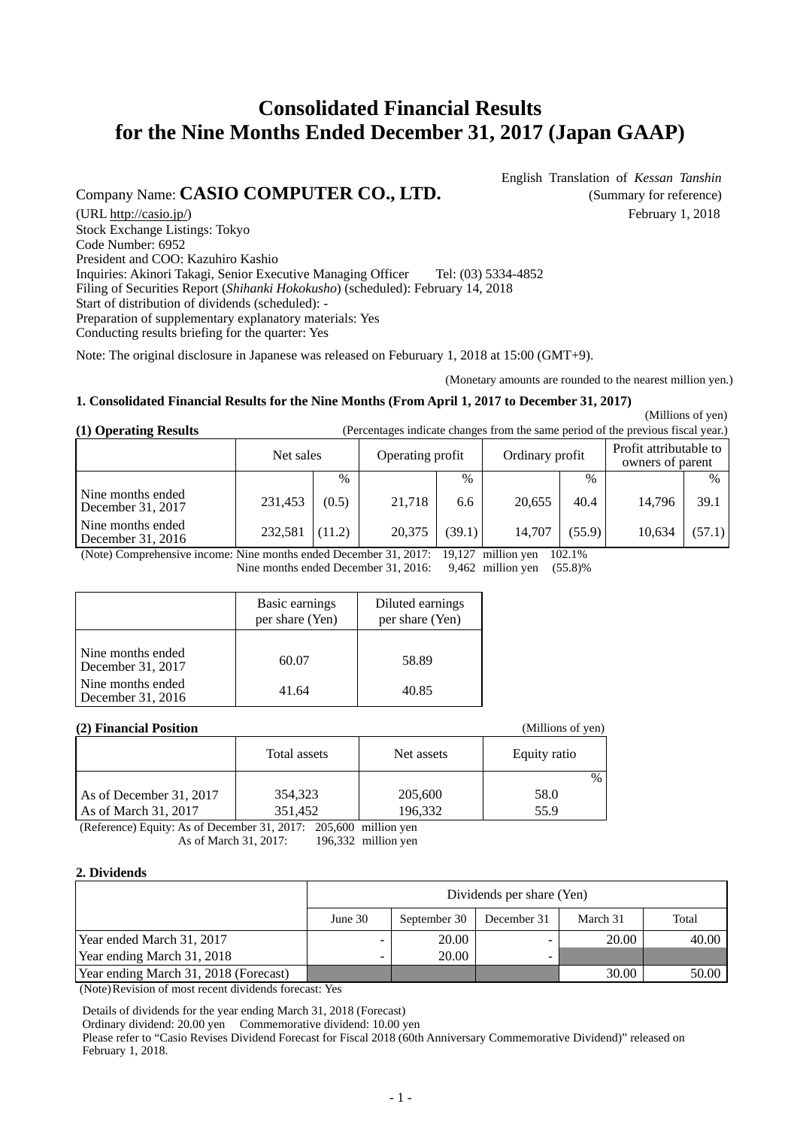# **Consolidated Financial Results for the Nine Months Ended December 31, 2017 (Japan GAAP)**

Company Name: **CASIO COMPUTER CO., LTD.** (Summary for reference)

English Translation of *Kessan Tanshin*

(URL http://casio.jp/) February 1, 2018 Stock Exchange Listings: Tokyo Code Number: 6952 President and COO: Kazuhiro Kashio Inquiries: Akinori Takagi, Senior Executive Managing Officer Tel: (03) 5334-4852 Filing of Securities Report (*Shihanki Hokokusho*) (scheduled): February 14, 2018 Start of distribution of dividends (scheduled): - Preparation of supplementary explanatory materials: Yes Conducting results briefing for the quarter: Yes

Note: The original disclosure in Japanese was released on Feburuary 1, 2018 at 15:00 (GMT+9).

(Monetary amounts are rounded to the nearest million yen.)

(Millions of yen)

### **1. Consolidated Financial Results for the Nine Months (From April 1, 2017 to December 31, 2017)**

**(1) Operating Results** (Percentages indicate changes from the same period of the previous fiscal year.)

(Millions of yen)

|                                          | Net sales |               | Operating profit |        | Ordinary profit |               | Profit attributable to<br>owners of parent |        |
|------------------------------------------|-----------|---------------|------------------|--------|-----------------|---------------|--------------------------------------------|--------|
|                                          |           | $\frac{0}{0}$ |                  | $\%$   |                 | $\frac{0}{6}$ |                                            | $\%$   |
| Nine months ended<br>December $31, 2017$ | 231,453   | (0.5)         | 21.718           | 6.6    | 20.655          | 40.4          | 14.796                                     | 39.1   |
| Nine months ended<br>December $31, 2016$ | 232,581   | (11.2)        | 20,375           | (39.1) | 14.707          | (55.9)        | 10,634                                     | (57.1) |

(Note) Comprehensive income: Nine months ended December 31, 2017: 19,127 million yen 102.1%<br>Nine months ended December 31, 2016: 9.462 million yen (55.8)%

Nine months ended December 31, 2016:

|                                        | Basic earnings<br>per share (Yen) | Diluted earnings<br>per share (Yen) |
|----------------------------------------|-----------------------------------|-------------------------------------|
| Nine months ended<br>December 31, 2017 | 60.07                             | 58.89                               |
| Nine months ended<br>December 31, 2016 | 41.64                             | 40.85                               |

### **(2) Financial Position**

|                         | Total assets | Net assets | Equity ratio  |
|-------------------------|--------------|------------|---------------|
|                         |              |            | $\frac{0}{0}$ |
| As of December 31, 2017 | 354,323      | 205,600    | 58.0          |
| As of March 31, 2017    | 351,452      | 196,332    | 55.9          |

(Reference) Equity: As of December 31, 2017: 205,600 million yen As of March 31, 2017: 196,332 million yen

### **2. Dividends**

|                                       | Dividends per share (Yen) |              |             |          |       |  |  |  |
|---------------------------------------|---------------------------|--------------|-------------|----------|-------|--|--|--|
|                                       | June 30                   | September 30 | December 31 | March 31 | Total |  |  |  |
| Year ended March 31, 2017             |                           | 20.00        | $\equiv$    | 20.00    | 40.00 |  |  |  |
| Year ending March 31, 2018            |                           | 20.00        | -           |          |       |  |  |  |
| Year ending March 31, 2018 (Forecast) |                           |              |             | 30.00    | 50.00 |  |  |  |

(Note)Revision of most recent dividends forecast: Yes

Details of dividends for the year ending March 31, 2018 (Forecast)

Ordinary dividend: 20.00 yen Commemorative dividend: 10.00 yen

Please refer to "Casio Revises Dividend Forecast for Fiscal 2018 (60th Anniversary Commemorative Dividend)" released on February 1, 2018.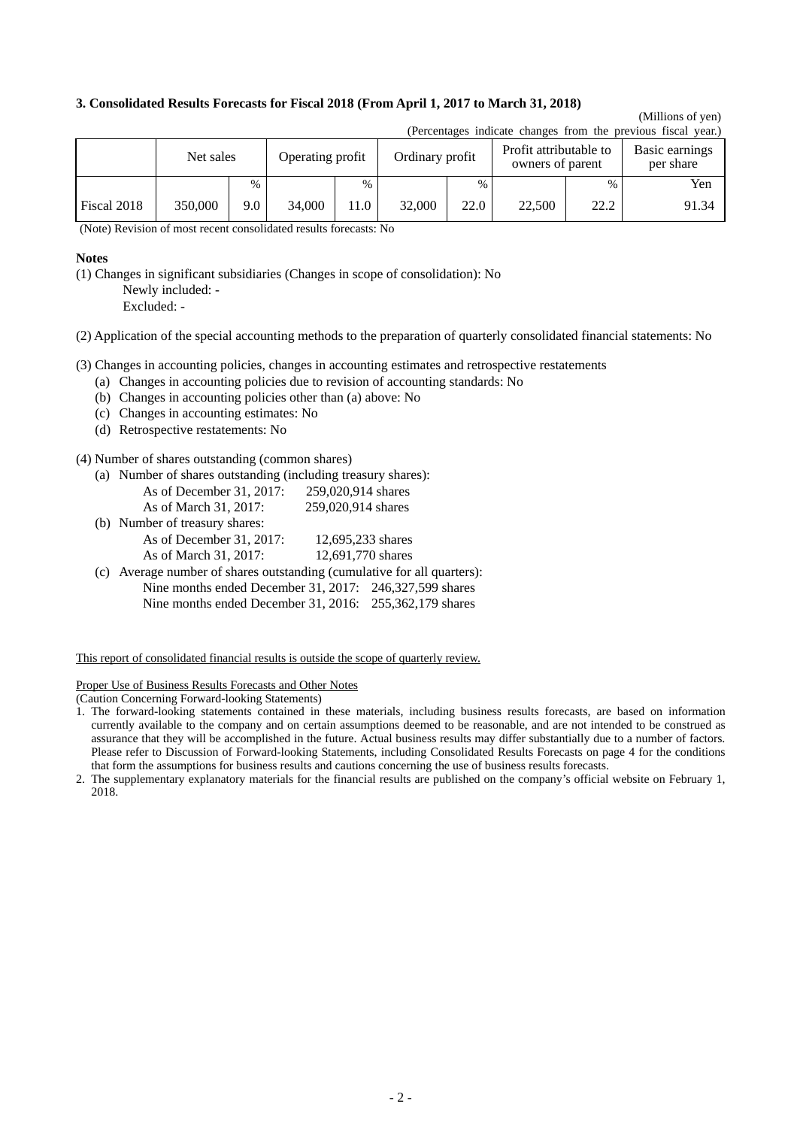### **3. Consolidated Results Forecasts for Fiscal 2018 (From April 1, 2017 to March 31, 2018)**

## (Millions of yen)

| (Ferentages mureau changes from the previous fiscal year.) |           |      |                  |      |        |                 |        |                                            |                             |
|------------------------------------------------------------|-----------|------|------------------|------|--------|-----------------|--------|--------------------------------------------|-----------------------------|
|                                                            | Net sales |      | Operating profit |      |        | Ordinary profit |        | Profit attributable to<br>owners of parent | Basic earnings<br>per share |
|                                                            |           | $\%$ |                  | $\%$ |        | $\%$            |        | $\%$                                       | Yen                         |
| Fiscal 2018                                                | 350,000   | 9.0  | 34,000           | 11.0 | 32,000 | 22.0            | 22,500 | 22.2                                       | 91.34                       |

(Percentages indicate changes from the previous fiscal year.)

(Note) Revision of most recent consolidated results forecasts: No

#### **Notes**

(1) Changes in significant subsidiaries (Changes in scope of consolidation): No Newly included: -

Excluded: -

(2) Application of the special accounting methods to the preparation of quarterly consolidated financial statements: No

(3) Changes in accounting policies, changes in accounting estimates and retrospective restatements

- (a) Changes in accounting policies due to revision of accounting standards: No
- (b) Changes in accounting policies other than (a) above: No
- (c) Changes in accounting estimates: No
- (d) Retrospective restatements: No

(4) Number of shares outstanding (common shares)

(a) Number of shares outstanding (including treasury shares):

| As of December 31, 2017: | 259,020,914 shares |
|--------------------------|--------------------|
| As of March 31, 2017:    | 259,020,914 shares |

- (b) Number of treasury shares: As of December 31, 2017: 12,695,233 shares
	- As of March 31, 2017: 12,691,770 shares
- (c) Average number of shares outstanding (cumulative for all quarters): Nine months ended December 31, 2017: 246,327,599 shares Nine months ended December 31, 2016: 255,362,179 shares

This report of consolidated financial results is outside the scope of quarterly review.

Proper Use of Business Results Forecasts and Other Notes

(Caution Concerning Forward-looking Statements)

2. The supplementary explanatory materials for the financial results are published on the company's official website on February 1, 2018.

<sup>1.</sup> The forward-looking statements contained in these materials, including business results forecasts, are based on information currently available to the company and on certain assumptions deemed to be reasonable, and are not intended to be construed as assurance that they will be accomplished in the future. Actual business results may differ substantially due to a number of factors. Please refer to Discussion of Forward-looking Statements, including Consolidated Results Forecasts on page 4 for the conditions that form the assumptions for business results and cautions concerning the use of business results forecasts.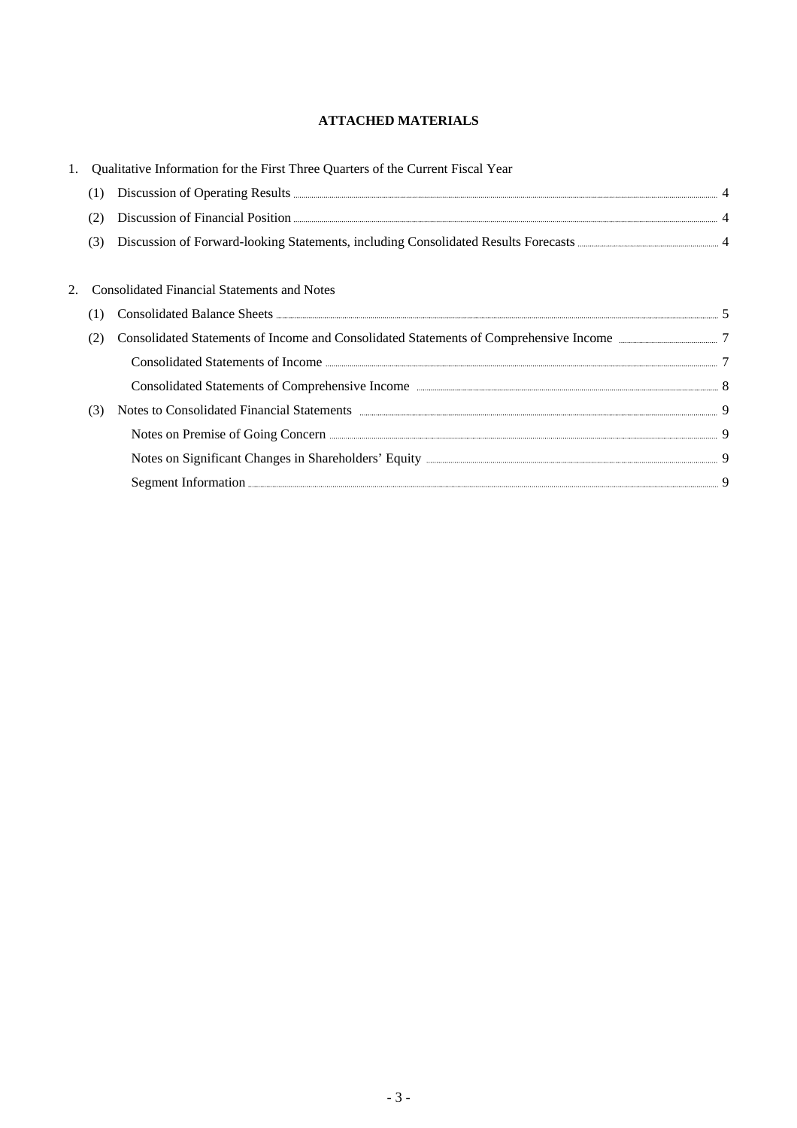### **ATTACHED MATERIALS**

|     | Qualitative Information for the First Three Quarters of the Current Fiscal Year                                                                                                                                                |  |
|-----|--------------------------------------------------------------------------------------------------------------------------------------------------------------------------------------------------------------------------------|--|
| (1) | Discussion of Operating Results <b>Example 2018</b> 4                                                                                                                                                                          |  |
|     | Discussion of Financial Position <b>Execution</b> 4                                                                                                                                                                            |  |
| (3) |                                                                                                                                                                                                                                |  |
|     |                                                                                                                                                                                                                                |  |
|     | <b>Consolidated Financial Statements and Notes</b>                                                                                                                                                                             |  |
| [ ] |                                                                                                                                                                                                                                |  |
| (2) | Consolidated Statements of Income and Consolidated Statements of Comprehensive Income 27                                                                                                                                       |  |
|     |                                                                                                                                                                                                                                |  |
|     |                                                                                                                                                                                                                                |  |
| (3) | Notes to Consolidated Financial Statements (2008) and the Statements of the Statements of the Statements of the Statements of the Statements of the Statements of the Statements of the Statements of the Statements of the St |  |
|     |                                                                                                                                                                                                                                |  |
|     |                                                                                                                                                                                                                                |  |
|     |                                                                                                                                                                                                                                |  |
|     |                                                                                                                                                                                                                                |  |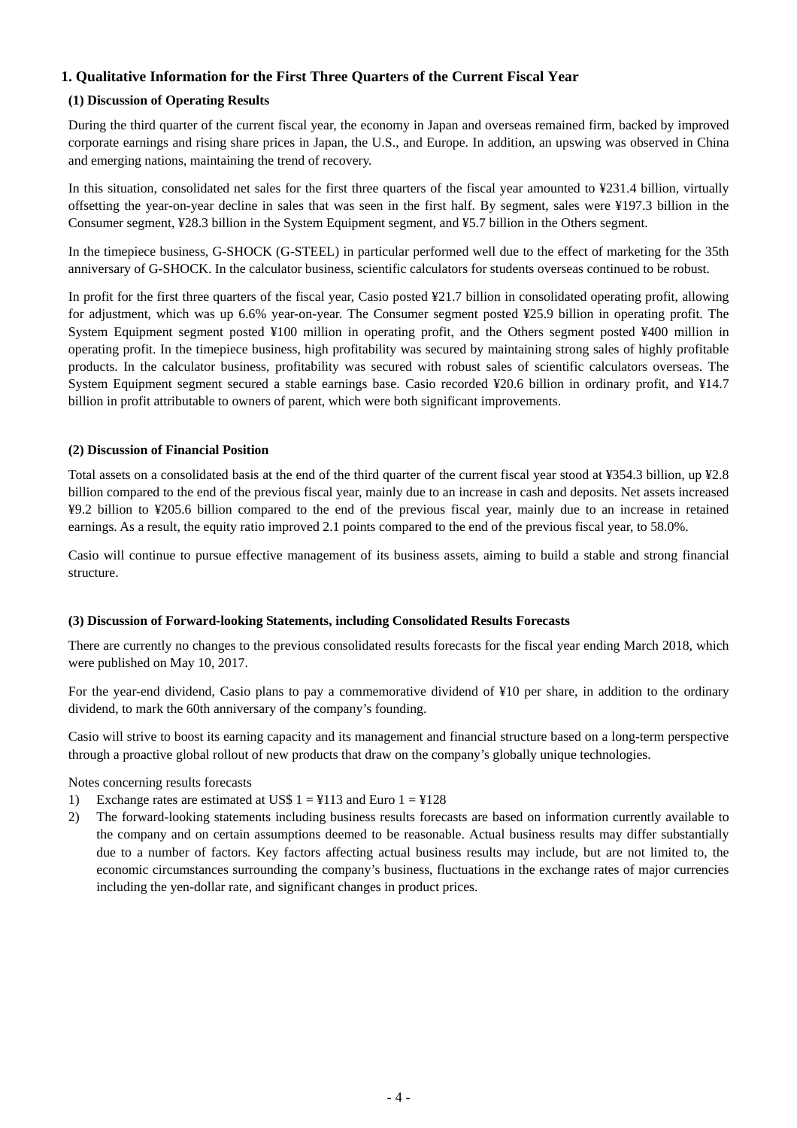### **1. Qualitative Information for the First Three Quarters of the Current Fiscal Year**

### **(1) Discussion of Operating Results**

During the third quarter of the current fiscal year, the economy in Japan and overseas remained firm, backed by improved corporate earnings and rising share prices in Japan, the U.S., and Europe. In addition, an upswing was observed in China and emerging nations, maintaining the trend of recovery.

In this situation, consolidated net sales for the first three quarters of the fiscal year amounted to ¥231.4 billion, virtually offsetting the year-on-year decline in sales that was seen in the first half. By segment, sales were ¥197.3 billion in the Consumer segment, ¥28.3 billion in the System Equipment segment, and ¥5.7 billion in the Others segment.

In the timepiece business, G-SHOCK (G-STEEL) in particular performed well due to the effect of marketing for the 35th anniversary of G-SHOCK. In the calculator business, scientific calculators for students overseas continued to be robust.

In profit for the first three quarters of the fiscal year, Casio posted ¥21.7 billion in consolidated operating profit, allowing for adjustment, which was up 6.6% year-on-year. The Consumer segment posted ¥25.9 billion in operating profit. The System Equipment segment posted ¥100 million in operating profit, and the Others segment posted ¥400 million in operating profit. In the timepiece business, high profitability was secured by maintaining strong sales of highly profitable products. In the calculator business, profitability was secured with robust sales of scientific calculators overseas. The System Equipment segment secured a stable earnings base. Casio recorded ¥20.6 billion in ordinary profit, and ¥14.7 billion in profit attributable to owners of parent, which were both significant improvements.

### **(2) Discussion of Financial Position**

Total assets on a consolidated basis at the end of the third quarter of the current fiscal year stood at ¥354.3 billion, up ¥2.8 billion compared to the end of the previous fiscal year, mainly due to an increase in cash and deposits. Net assets increased ¥9.2 billion to ¥205.6 billion compared to the end of the previous fiscal year, mainly due to an increase in retained earnings. As a result, the equity ratio improved 2.1 points compared to the end of the previous fiscal year, to 58.0%.

Casio will continue to pursue effective management of its business assets, aiming to build a stable and strong financial structure.

### **(3) Discussion of Forward-looking Statements, including Consolidated Results Forecasts**

There are currently no changes to the previous consolidated results forecasts for the fiscal year ending March 2018, which were published on May 10, 2017.

For the year-end dividend, Casio plans to pay a commemorative dividend of ¥10 per share, in addition to the ordinary dividend, to mark the 60th anniversary of the company's founding.

Casio will strive to boost its earning capacity and its management and financial structure based on a long-term perspective through a proactive global rollout of new products that draw on the company's globally unique technologies.

Notes concerning results forecasts

- 1) Exchange rates are estimated at US\$  $1 = 113$  and Euro  $1 = 128$
- 2) The forward-looking statements including business results forecasts are based on information currently available to the company and on certain assumptions deemed to be reasonable. Actual business results may differ substantially due to a number of factors. Key factors affecting actual business results may include, but are not limited to, the economic circumstances surrounding the company's business, fluctuations in the exchange rates of major currencies including the yen-dollar rate, and significant changes in product prices.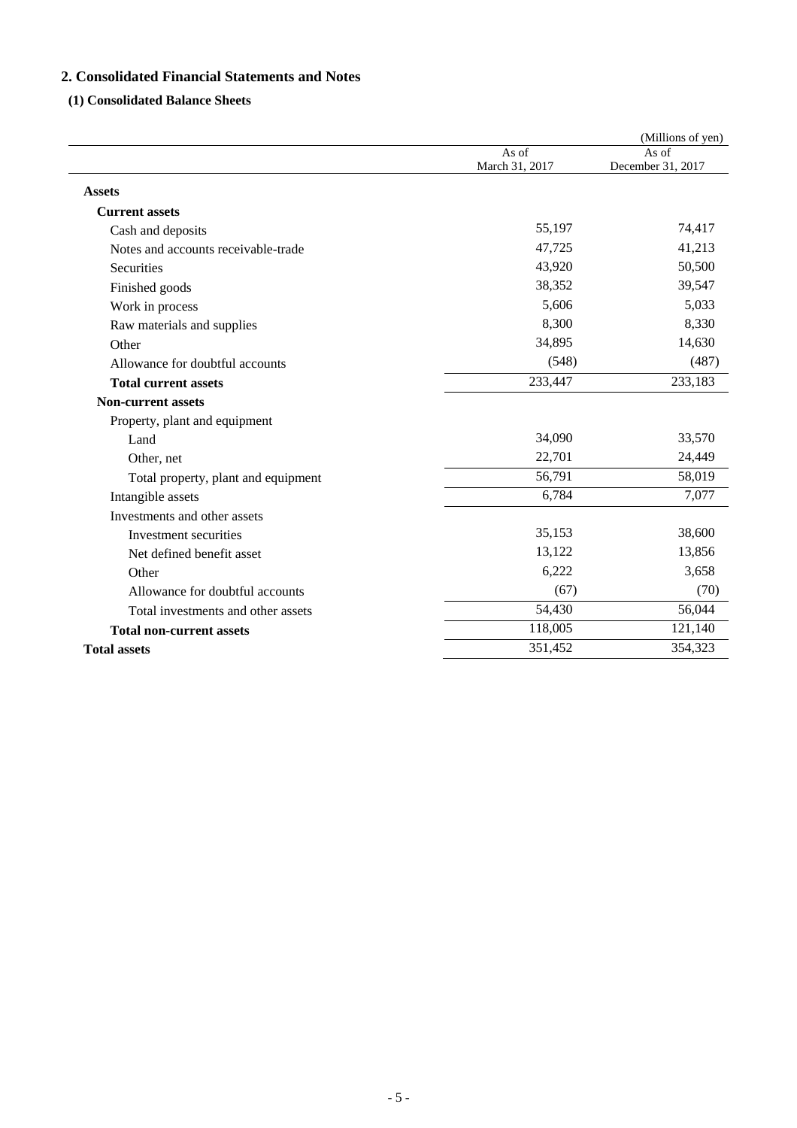### **2. Consolidated Financial Statements and Notes**

### **(1) Consolidated Balance Sheets**

|                                     |                         | (Millions of yen)          |
|-------------------------------------|-------------------------|----------------------------|
|                                     | As of<br>March 31, 2017 | As of<br>December 31, 2017 |
| <b>Assets</b>                       |                         |                            |
| <b>Current assets</b>               |                         |                            |
| Cash and deposits                   | 55,197                  | 74,417                     |
| Notes and accounts receivable-trade | 47,725                  | 41,213                     |
| <b>Securities</b>                   | 43,920                  | 50,500                     |
| Finished goods                      | 38,352                  | 39,547                     |
| Work in process                     | 5,606                   | 5,033                      |
| Raw materials and supplies          | 8,300                   | 8,330                      |
| Other                               | 34,895                  | 14,630                     |
| Allowance for doubtful accounts     | (548)                   | (487)                      |
| <b>Total current assets</b>         | 233,447                 | 233,183                    |
| <b>Non-current assets</b>           |                         |                            |
| Property, plant and equipment       |                         |                            |
| Land                                | 34,090                  | 33,570                     |
| Other, net                          | 22,701                  | 24,449                     |
| Total property, plant and equipment | 56,791                  | 58,019                     |
| Intangible assets                   | 6,784                   | 7,077                      |
| Investments and other assets        |                         |                            |
| Investment securities               | 35,153                  | 38,600                     |
| Net defined benefit asset           | 13,122                  | 13,856                     |
| Other                               | 6,222                   | 3,658                      |
| Allowance for doubtful accounts     | (67)                    | (70)                       |
| Total investments and other assets  | 54,430                  | 56,044                     |
| <b>Total non-current assets</b>     | 118,005                 | 121,140                    |
| <b>Total assets</b>                 | 351,452                 | 354,323                    |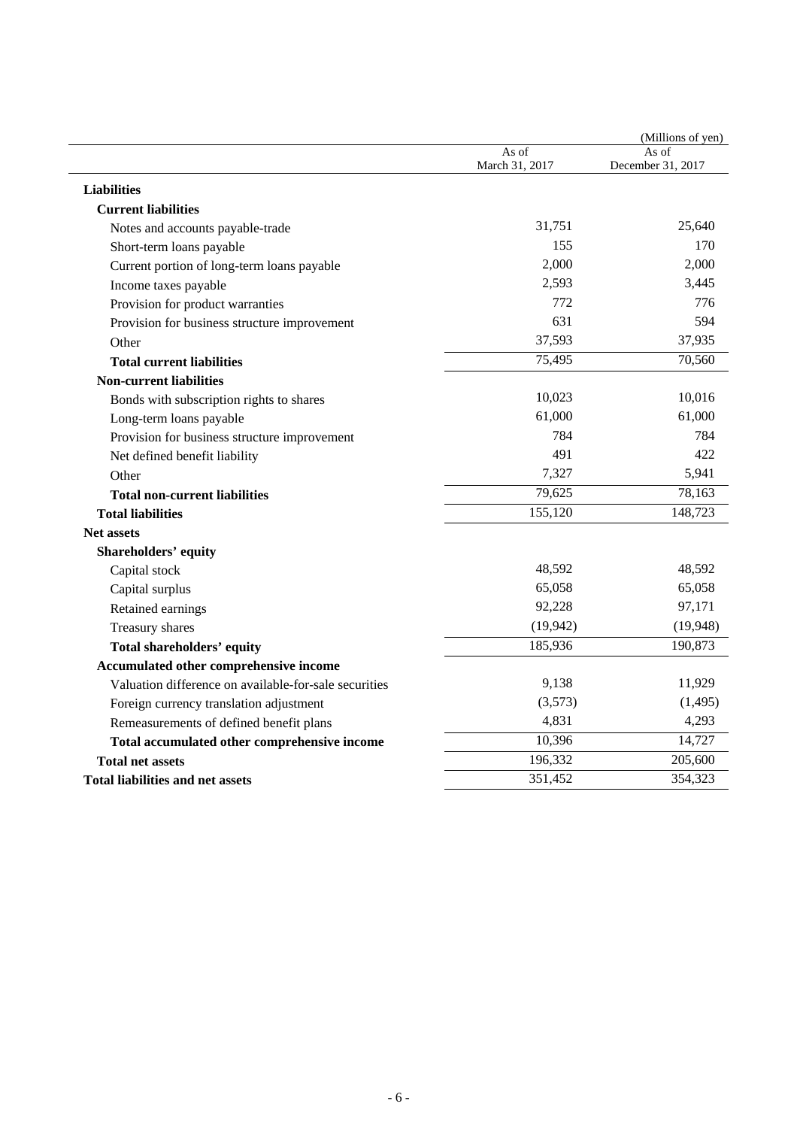|                                                       |                         | (Millions of yen)          |
|-------------------------------------------------------|-------------------------|----------------------------|
|                                                       | As of<br>March 31, 2017 | As of<br>December 31, 2017 |
| <b>Liabilities</b>                                    |                         |                            |
| <b>Current liabilities</b>                            |                         |                            |
| Notes and accounts payable-trade                      | 31,751                  | 25,640                     |
| Short-term loans payable                              | 155                     | 170                        |
| Current portion of long-term loans payable            | 2,000                   | 2,000                      |
| Income taxes payable                                  | 2,593                   | 3,445                      |
| Provision for product warranties                      | 772                     | 776                        |
| Provision for business structure improvement          | 631                     | 594                        |
| Other                                                 | 37,593                  | 37,935                     |
| <b>Total current liabilities</b>                      | 75,495                  | 70,560                     |
| <b>Non-current liabilities</b>                        |                         |                            |
| Bonds with subscription rights to shares              | 10,023                  | 10,016                     |
| Long-term loans payable                               | 61,000                  | 61,000                     |
| Provision for business structure improvement          | 784                     | 784                        |
| Net defined benefit liability                         | 491                     | 422                        |
| Other                                                 | 7,327                   | 5,941                      |
| <b>Total non-current liabilities</b>                  | 79,625                  | 78,163                     |
| <b>Total liabilities</b>                              | 155,120                 | 148,723                    |
| <b>Net assets</b>                                     |                         |                            |
| <b>Shareholders' equity</b>                           |                         |                            |
| Capital stock                                         | 48,592                  | 48,592                     |
| Capital surplus                                       | 65,058                  | 65,058                     |
| Retained earnings                                     | 92,228                  | 97,171                     |
| Treasury shares                                       | (19, 942)               | (19,948)                   |
| <b>Total shareholders' equity</b>                     | 185,936                 | 190,873                    |
| Accumulated other comprehensive income                |                         |                            |
| Valuation difference on available-for-sale securities | 9,138                   | 11,929                     |
| Foreign currency translation adjustment               | (3,573)                 | (1,495)                    |
| Remeasurements of defined benefit plans               | 4,831                   | 4,293                      |
| Total accumulated other comprehensive income          | 10,396                  | 14,727                     |
| <b>Total net assets</b>                               | 196,332                 | 205,600                    |
| Total liabilities and net assets                      | 351,452                 | 354,323                    |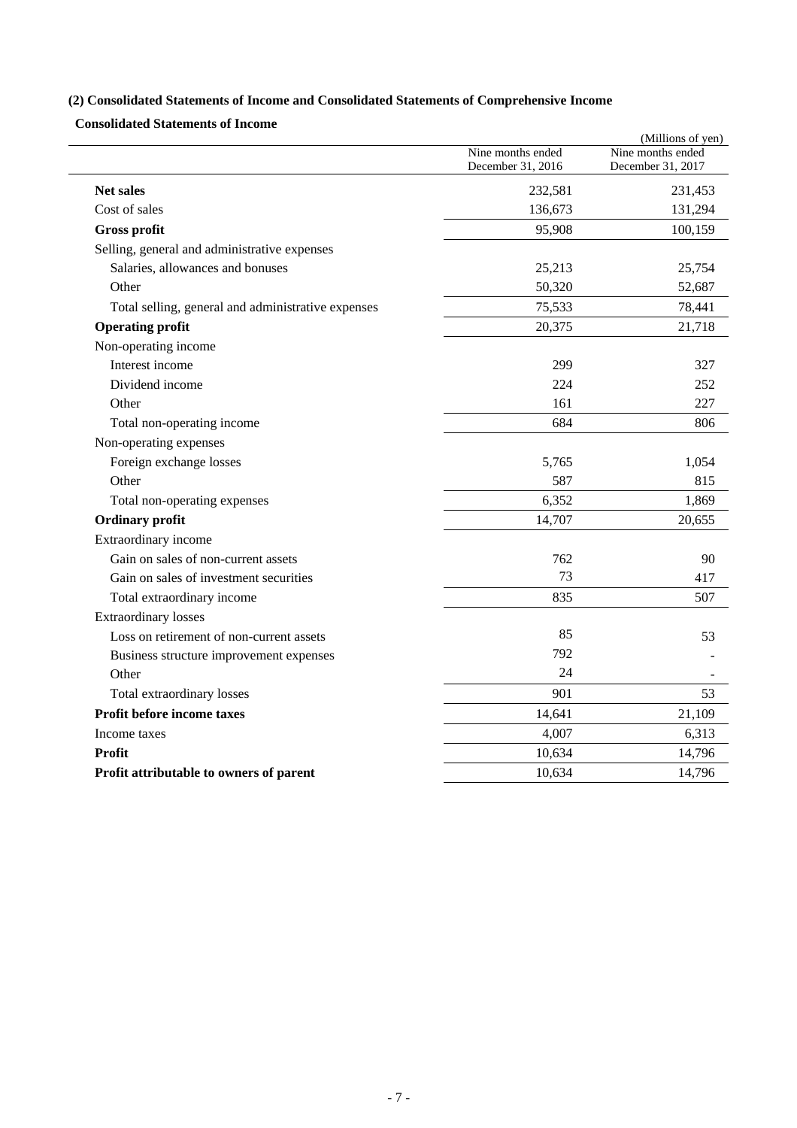# **(2) Consolidated Statements of Income and Consolidated Statements of Comprehensive Income**

**Consolidated Statements of Income** 

|                                                    |                                        | (Millions of yen)                      |
|----------------------------------------------------|----------------------------------------|----------------------------------------|
|                                                    | Nine months ended<br>December 31, 2016 | Nine months ended<br>December 31, 2017 |
| <b>Net sales</b>                                   | 232,581                                | 231,453                                |
| Cost of sales                                      | 136,673                                | 131,294                                |
| <b>Gross profit</b>                                | 95,908                                 | 100,159                                |
| Selling, general and administrative expenses       |                                        |                                        |
| Salaries, allowances and bonuses                   | 25,213                                 | 25,754                                 |
| Other                                              | 50,320                                 | 52,687                                 |
| Total selling, general and administrative expenses | 75,533                                 | 78,441                                 |
| <b>Operating profit</b>                            | 20,375                                 | 21,718                                 |
| Non-operating income                               |                                        |                                        |
| Interest income                                    | 299                                    | 327                                    |
| Dividend income                                    | 224                                    | 252                                    |
| Other                                              | 161                                    | 227                                    |
| Total non-operating income                         | 684                                    | 806                                    |
| Non-operating expenses                             |                                        |                                        |
| Foreign exchange losses                            | 5,765                                  | 1,054                                  |
| Other                                              | 587                                    | 815                                    |
| Total non-operating expenses                       | 6,352                                  | 1,869                                  |
| <b>Ordinary profit</b>                             | 14,707                                 | 20,655                                 |
| Extraordinary income                               |                                        |                                        |
| Gain on sales of non-current assets                | 762                                    | 90                                     |
| Gain on sales of investment securities             | 73                                     | 417                                    |
| Total extraordinary income                         | 835                                    | 507                                    |
| <b>Extraordinary losses</b>                        |                                        |                                        |
| Loss on retirement of non-current assets           | 85                                     | 53                                     |
| Business structure improvement expenses            | 792                                    |                                        |
| Other                                              | 24                                     |                                        |
| Total extraordinary losses                         | 901                                    | 53                                     |
| Profit before income taxes                         | 14,641                                 | 21,109                                 |
| Income taxes                                       | 4,007                                  | 6,313                                  |
| Profit                                             | 10,634                                 | 14,796                                 |
| Profit attributable to owners of parent            | 10,634                                 | 14,796                                 |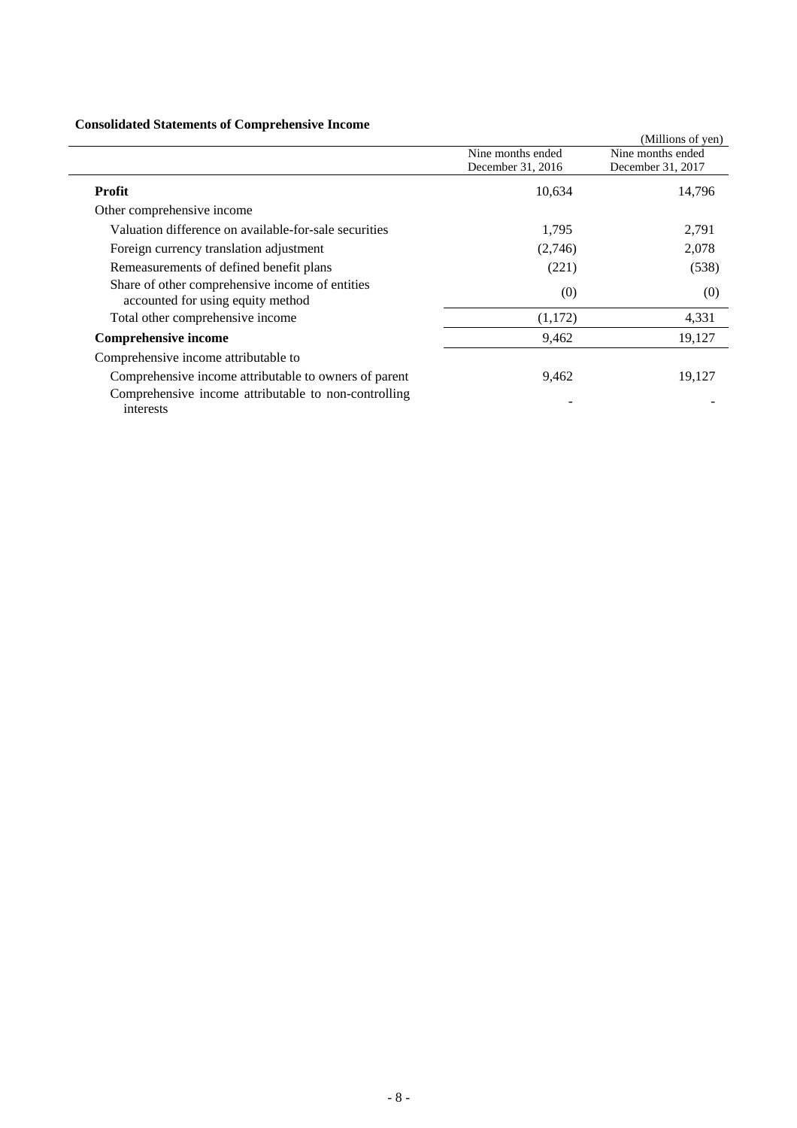### **Consolidated Statements of Comprehensive Income**

| Consolidated Statements of Complements of Income                                     |                   |                   |
|--------------------------------------------------------------------------------------|-------------------|-------------------|
|                                                                                      |                   | (Millions of yen) |
|                                                                                      | Nine months ended | Nine months ended |
|                                                                                      | December 31, 2016 | December 31, 2017 |
| <b>Profit</b>                                                                        | 10,634            | 14,796            |
| Other comprehensive income                                                           |                   |                   |
| Valuation difference on available-for-sale securities                                | 1,795             | 2,791             |
| Foreign currency translation adjustment                                              | (2,746)           | 2,078             |
| Remeasurements of defined benefit plans                                              | (221)             | (538)             |
| Share of other comprehensive income of entities<br>accounted for using equity method | (0)               | (0)               |
| Total other comprehensive income                                                     | (1,172)           | 4,331             |
| <b>Comprehensive income</b>                                                          | 9,462             | 19,127            |
| Comprehensive income attributable to                                                 |                   |                   |
| Comprehensive income attributable to owners of parent                                | 9,462             | 19,127            |
| Comprehensive income attributable to non-controlling<br>interests                    |                   |                   |